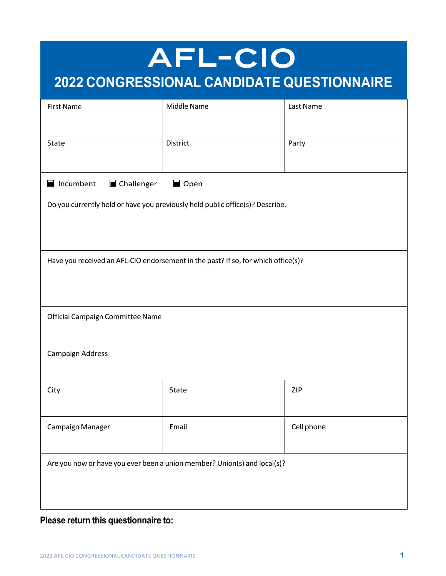# AFL-CIO **2022 CONGRESSIONAL CANDIDATE QUESTIONNAIRE**

| <b>First Name</b>                                                                 | Middle Name | Last Name  |
|-----------------------------------------------------------------------------------|-------------|------------|
| State                                                                             | District    | Party      |
| Incumbent<br>Challenger<br>Open                                                   |             |            |
| Do you currently hold or have you previously held public office(s)? Describe.     |             |            |
| Have you received an AFL-CIO endorsement in the past? If so, for which office(s)? |             |            |
| Official Campaign Committee Name                                                  |             |            |
| Campaign Address                                                                  |             |            |
| City                                                                              | State       | <b>ZIP</b> |
| Campaign Manager                                                                  | Email       | Cell phone |
| Are you now or have you ever been a union member? Union(s) and local(s)?          |             |            |

**Please return this questionnaire to:**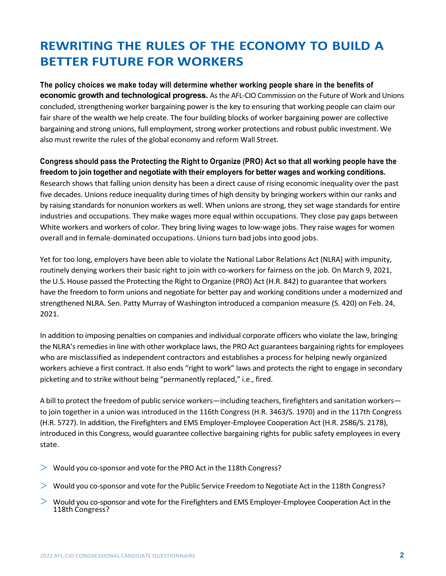# **REWRITING THE RULES OF THE ECONOMY TO BUILD A BETTER FUTURE FOR WORKERS**

**The policy choices we make today will determine whether working people share in the benefits of economic growth and technological progress.** As the AFL-CIO Commission on the Future of Work and Unions concluded, strengthening worker bargaining power is the key to ensuring that working people can claim our fair share of the wealth we help create. The four building blocks of worker bargaining power are collective bargaining and strong unions, full employment, strong worker protections and robust public investment. We also must rewrite the rules of the global economy and reform Wall Street.

Congress should pass the Protecting the Right to Organize (PRO) Act so that all working people have the **freedom to join together and negotiate with their employers for better wages and working conditions.** Research shows that falling union density has been a direct cause of rising economic inequality over the past five decades. Unions reduce inequality during times of high density by bringing workers within our ranks and by raising standards for nonunion workers as well. When unions are strong, they set wage standards for entire industries and occupations. They make wages more equal within occupations. They close pay gaps between White workers and workers of color. They bring living wages to low-wage jobs. They raise wages for women overall and in female-dominated occupations. Unionsturn bad jobsinto good jobs.

Yet for too long, employers have been able to violate the National Labor Relations Act (NLRA) with impunity, routinely denying workers their basic right to join with co-workers for fairness on the job. On March 9, 2021, the U.S. House passed the Protecting the Right to Organize (PRO) Act (H.R. 842) to guarantee that workers have the freedom to form unions and negotiate for better pay and working conditions under a modernized and strengthened NLRA. Sen. Patty Murray of Washington introduced a companion measure (S. 420) on Feb. 24, 2021.

In addition to imposing penalties on companies and individual corporate officers who violate the law, bringing the NLRA's remedies in line with other workplace laws, the PRO Act guarantees bargaining rights for employees who are misclassified as independent contractors and establishes a process for helping newly organized workers achieve a first contract. It also ends "right to work" laws and protects the right to engage in secondary picketing and to strike without being "permanently replaced," i.e., fired.

A bill to protect the freedom of public service workers—including teachers, firefighters and sanitation workers to join together in a union was introduced in the 116th Congress (H.R. 3463/S. 1970) and in the 117th Congress (H.R. 5727). In addition, the Firefighters and EMS Employer-Employee Cooperation Act (H.R. 2586/S. 2178), introduced in this Congress, would guarantee collective bargaining rights for public safety employees in every state.

- $>$  Would you co-sponsor and vote for the PRO Act in the 118th Congress?
- > Would you co-sponsor and vote for the Public Service Freedom to Negotiate Act in the 118th Congress?
- $>$  Would you co-sponsor and vote for the Firefighters and EMS Employer-Employee Cooperation Act in the 118th Congress?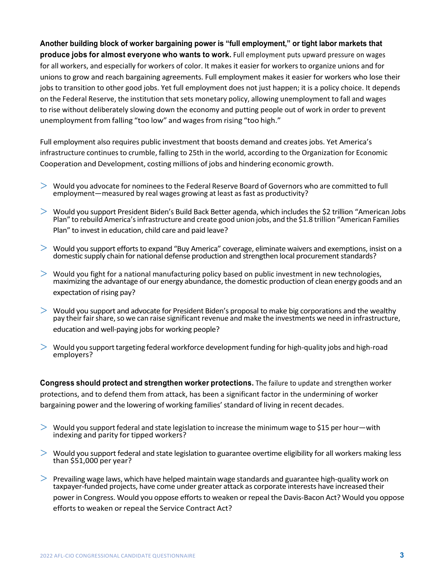**Another building block of worker bargaining power is "full employment," or tight labor markets that produce jobs for almost everyone who wants to work.** Full employment puts upward pressure on wages for all workers, and especially for workers of color. It makes it easier for workers to organize unions and for unions to grow and reach bargaining agreements. Full employment makes it easier for workers who lose their jobs to transition to other good jobs. Yet full employment does not just happen; it is a policy choice. It depends on the Federal Reserve, the institution that sets monetary policy, allowing unemployment to fall and wages to rise without deliberately slowing down the economy and putting people out of work in order to prevent unemployment from falling "too low" and wages from rising "too high."

Full employment also requires public investment that boosts demand and creates jobs. Yet America's infrastructure continuesto crumble, falling to 25th in the world, according to the Organization for Economic Cooperation and Development, costing millions of jobs and hindering economic growth.

- $>$  Would you advocate for nominees to the Federal Reserve Board of Governors who are committed to full employment—measured by real wages growing at least as fast as productivity?
- > Would you support President Biden's Build Back Better agenda, which includes the \$2 trillion "American Jobs Plan" to rebuild America'sinfrastructure and create good union jobs, and the \$1.8 trillion "American Families Plan" to invest in education, child care and paid leave?
- > Would you support efforts to expand "Buy America" coverage, eliminate waivers and exemptions, insist on a domestic supply chain for national defense production and strengthen local procurement standards?
- $>$  Would you fight for a national manufacturing policy based on public investment in new technologies, maximizing the advantage of our energy abundance, the domestic production of clean energy goods and an expectation of rising pay?
- $>$  Would you support and advocate for President Biden's proposal to make big corporations and the wealthy pay their fair share, so we can raise significant revenue and make the investments we need in infrastructure, education and well-paying jobs for working people?
- $>$  Would you support targeting federal workforce development funding for high-quality jobs and high-road employers?

**Congress should protect and strengthen worker protections.** The failure to update and strengthen worker protections, and to defend them from attack, has been a significant factor in the undermining of worker bargaining power and the lowering of working families' standard of living in recent decades.

- $>$  Would you support federal and state legislation to increase the minimum wage to \$15 per hour—with indexing and parity for tipped workers?
- $>$  Would you support federal and state legislation to guarantee overtime eligibility for all workers making less than  $$51,000$  per year?
- $>$  Prevailing wage laws, which have helped maintain wage standards and guarantee high-quality work on taxpayer-funded projects, have come under greater attack as corporate interests have increased their power in Congress. Would you oppose efforts to weaken or repeal the Davis-Bacon Act? Would you oppose efforts to weaken or repeal the Service Contract Act?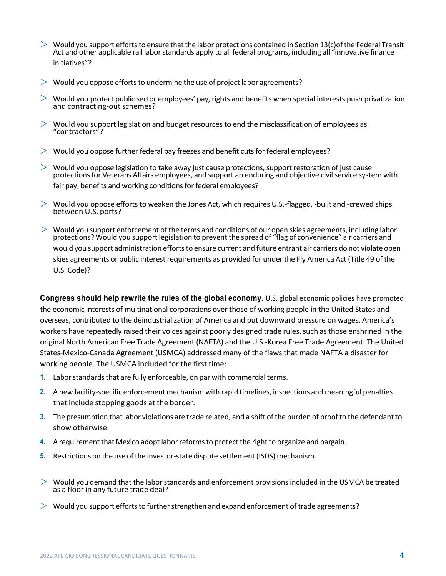- $>$  Would you support efforts to ensure that the labor protections contained in Section 13(c)of the Federal Transit Act and other applicable rail labor standards apply to all federal programs, including all "innovative finance initiatives"?
- $>$  Would you oppose efforts to undermine the use of project labor agreements?
- $>$  Would you protect public sector employees' pay, rights and benefits when special interests push privatization and contracting-out schemes?
- $>$  Would you support legislation and budget resources to end the misclassification of employees as "contractors"?
- $>$  Would you oppose further federal pay freezes and benefit cuts for federal employees?
- $>$  Would you oppose legislation to take away just cause protections, support restoration of just cause protectionsfor Veterans Affairs employees, and support an enduring and objective civilservice system with fair pay, benefits and working conditions for federal employees?
- $>$  Would you oppose efforts to weaken the Jones Act, which requires U.S.-flagged, -built and -crewed ships between U.S. ports?
- $>$  Would you support enforcement of the terms and conditions of our open skies agreements, including labor protections? Would you support legislation to prevent the spread of "flag of convenience" air carriers and would you support administration efforts to ensure current and future entrant air carriers do not violate open skies agreements or public interest requirements as provided for under the Fly America Act (Title 49 of the U.S. Code)?

**Congress should help rewrite the rules of the global economy.** U.S. global economic policies have promoted the economic interests of multinational corporations over those of working people in the United States and overseas, contributed to the deindustrialization of America and put downward pressure on wages. America's workers have repeatedly raised their voices against poorly designed trade rules, such as those enshrined in the original North American Free Trade Agreement (NAFTA) and the U.S.-Korea Free Trade Agreement. The United States-Mexico-Canada Agreement (USMCA) addressed many of the flaws that made NAFTA a disaster for working people. The USMCA included for the first time:

- **1.** Labor standards that are fully enforceable, on par with commercial terms.
- **2.** A new facility-specific enforcement mechanism with rapid timelines, inspections and meaningful penalties that include stopping goods at the border.
- **3.** The presumption that labor violations are trade related, and a shift of the burden of proof to the defendant to show otherwise.
- **4.** A requirement that Mexico adopt laborreformsto protect the right to organize and bargain.
- **5.** Restrictions on the use of the investor-state dispute settlement (ISDS) mechanism.
- $>$  Would you demand that the labor standards and enforcement provisions included in the USMCA be treated as a floor in any future trade deal?
- $>$  Would you support efforts to further strengthen and expand enforcement of trade agreements?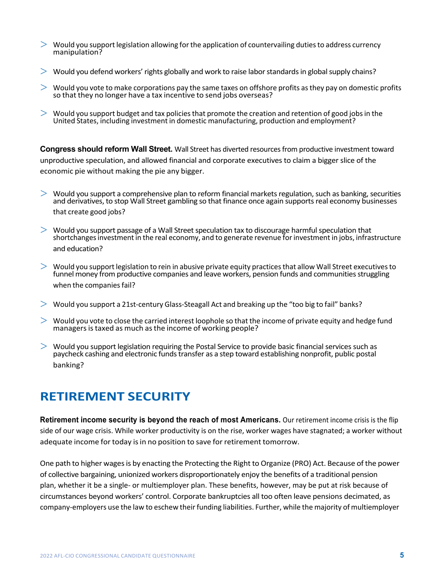- $>$  Would you support legislation allowing for the application of countervailing duties to address currency manipulation?
- $>$  Would you defend workers' rights globally and work to raise labor standards in global supply chains?
- $>$  Would you vote to make corporations pay the same taxes on offshore profits as they pay on domestic profits so that they no longer have a tax incentive to send jobs overseas?
- $>$  Would you support budget and tax policies that promote the creation and retention of good jobs in the United States, including investment in domestic manufacturing, production and employment?

**Congress should reform Wall Street.** Wall Street has diverted resources from productive investment toward unproductive speculation, and allowed financial and corporate executives to claim a bigger slice of the economic pie without making the pie any bigger.

- $>$  Would you support a comprehensive plan to reform financial markets regulation, such as banking, securities and derivatives, to stop Wall Street gambling so that finance once again supports real economy businesses that create good jobs?
- $>$  Would you support passage of a Wall Street speculation tax to discourage harmful speculation that shortchangesinvestment in the real economy, and to generate revenue forinvestment in jobs, infrastructure and education?
- $>$  Would you support legislation to rein in abusive private equity practices that allow Wall Street executives to funnel money from productive companies and leave workers, pension funds and communities struggling when the companies fail?
- $>$  Would you support a 21st-century Glass-Steagall Act and breaking up the "too big to fail" banks?
- $>$  Would you vote to close the carried interest loophole so that the income of private equity and hedge fund managers is taxed as much as the income of working people?
- $>$  Would you support legislation requiring the Postal Service to provide basic financial services such as paycheck cashing and electronic fundstransfer as a step toward establishing nonprofit, public postal banking?

#### **RETIREMENT SECURITY**

**Retirement income security is beyond the reach of most Americans.** Our retirement income crisis is the flip side of our wage crisis. While worker productivity is on the rise, worker wages have stagnated; a worker without adequate income for today is in no position to save for retirement tomorrow.

One path to higher wagesis by enacting the Protecting the Right to Organize (PRO) Act. Because of the power of collective bargaining, unionized workers disproportionately enjoy the benefits of a traditional pension plan, whether it be a single- or multiemployer plan. These benefits, however, may be put at risk because of circumstances beyond workers' control. Corporate bankruptcies all too often leave pensions decimated, as company-employers use the law to eschew their funding liabilities. Further, while the majority of multiemployer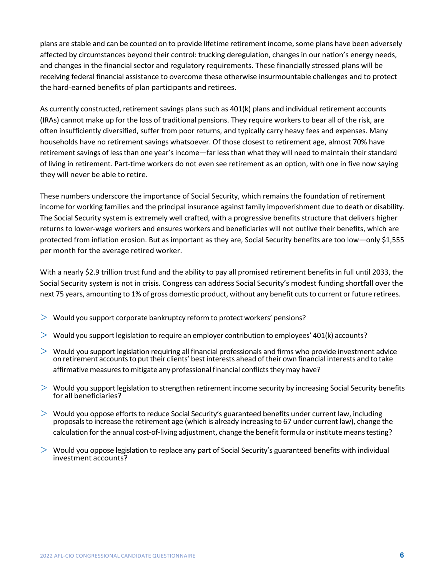plans are stable and can be counted on to provide lifetime retirement income, some plans have been adversely affected by circumstances beyond their control: trucking deregulation, changes in our nation's energy needs, and changes in the financial sector and regulatory requirements. These financially stressed plans will be receiving federal financial assistance to overcome these otherwise insurmountable challenges and to protect the hard-earned benefits of plan participants and retirees.

As currently constructed, retirement savings plans such as 401(k) plans and individual retirement accounts (IRAs) cannot make up for the loss of traditional pensions. They require workers to bear all of the risk, are often insufficiently diversified, suffer from poor returns, and typically carry heavy fees and expenses. Many households have no retirement savings whatsoever. Of those closest to retirement age, almost 70% have retirement savings of less than one year's income—far less than what they will need to maintain their standard of living in retirement. Part-time workers do not even see retirement as an option, with one in five now saying they will never be able to retire.

These numbers underscore the importance of Social Security, which remains the foundation of retirement income for working families and the principal insurance against family impoverishment due to death or disability. The Social Security system is extremely well crafted, with a progressive benefits structure that delivers higher returns to lower-wage workers and ensures workers and beneficiaries will not outlive their benefits, which are protected from inflation erosion. But as important as they are, Social Security benefits are too low—only \$1,555 per month for the average retired worker.

With a nearly \$2.9 trillion trust fund and the ability to pay all promised retirement benefits in full until 2033, the Social Security system is not in crisis. Congress can address Social Security's modest funding shortfall over the next 75 years, amounting to 1% of gross domestic product, without any benefit cuts to current or future retirees.

- $>$  Would you support corporate bankruptcy reform to protect workers' pensions?
- $>$  Would you support legislation to require an employer contribution to employees' 401(k) accounts?
- > Would you support legislation requiring all financial professionals and firms who provide investment advice on retirement accounts to put their clients' best interests ahead of their own financial interests and to take affirmative measures to mitigate any professional financial conflicts they may have?
- $>$  Would you support legislation to strengthen retirement income security by increasing Social Security benefits for all beneficiaries?
- $>$  Would you oppose efforts to reduce Social Security's guaranteed benefits under current law, including proposalsto increase the retirement age (which is already increasing to 67 under current law), change the calculation for the annual cost-of-living adjustment, change the benefit formula or institute means testing?
- $>$  Would you oppose legislation to replace any part of Social Security's guaranteed benefits with individual investment accounts?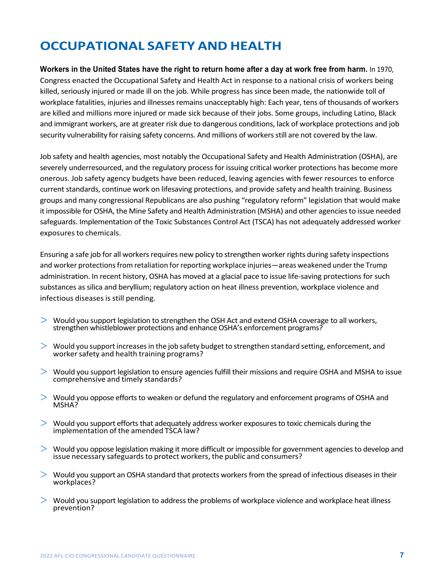# **OCCUPATIONAL SAFETY AND HEALTH**

**Workers in the United States have the right to return home after a day at work free from harm.** In 1970, Congress enacted the Occupational Safety and Health Act in response to a national crisis of workers being killed, seriously injured or made ill on the job. While progress has since been made, the nationwide toll of workplace fatalities, injuries and illnesses remains unacceptably high: Each year, tens of thousands of workers are killed and millions more injured or made sick because of their jobs. Some groups, including Latino, Black and immigrant workers, are at greater risk due to dangerous conditions, lack of workplace protections and job security vulnerability for raising safety concerns. And millions of workers still are not covered by the law.

Job safety and health agencies, most notably the Occupational Safety and Health Administration (OSHA), are severely underresourced, and the regulatory process for issuing critical worker protections has become more onerous. Job safety agency budgets have been reduced, leaving agencies with fewer resources to enforce current standards, continue work on lifesaving protections, and provide safety and health training. Business groups and many congressional Republicans are also pushing "regulatory reform" legislation that would make it impossible for OSHA, the Mine Safety and Health Administration (MSHA) and other agenciesto issue needed safeguards. Implementation of the Toxic Substances Control Act (TSCA) has not adequately addressed worker exposures to chemicals.

Ensuring a safe job for all workers requires new policy to strengthen worker rights during safety inspections and worker protections from retaliation for reporting workplace injuries—areas weakened under the Trump administration. In recent history, OSHA has moved at a glacial pace to issue life-saving protections for such substances as silica and beryllium; regulatory action on heat illness prevention, workplace violence and infectious diseases is still pending.

- $>$  Would you support legislation to strengthen the OSH Act and extend OSHA coverage to all workers, strengthen whistleblower protections and enhance OSHA's enforcement programs?
- $>$  Would you support increases in the job safety budget to strengthen standard setting, enforcement, and worker safety and health training programs?
- $>$  Would you support legislation to ensure agencies fulfill their missions and require OSHA and MSHA to issue comprehensive and timely standards?
- $>$  Would you oppose efforts to weaken or defund the regulatory and enforcement programs of OSHA and MSHA?
- $>$  Would you support efforts that adequately address worker exposures to toxic chemicals during the implementation of the amended TSCA law?
- $>$  Would you oppose legislation making it more difficult or impossible for government agencies to develop and issue necessary safeguards to protect workers, the public and consumers?
- > Would you support an OSHA standard that protects workers from the spread of infectious diseases in their workplaces?
- $>$  Would you support legislation to address the problems of workplace violence and workplace heat illness prevention?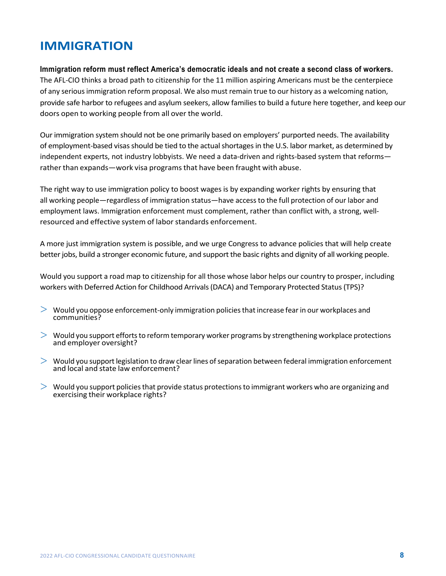### **IMMIGRATION**

**Immigration reform must reflect America's democratic ideals and not create a second class of workers.**

The AFL-CIO thinks a broad path to citizenship for the 11 million aspiring Americans must be the centerpiece of any serious immigration reform proposal. We also must remain true to our history as a welcoming nation, provide safe harbor to refugees and asylum seekers, allow families to build a future here together, and keep our doors open to working people from all over the world.

Our immigration system should not be one primarily based on employers' purported needs. The availability of employment-based visas should be tied to the actual shortages in the U.S. labor market, as determined by independent experts, not industry lobbyists. We need a data-driven and rights-based system that reforms rather than expands—work visa programsthat have been fraught with abuse.

The right way to use immigration policy to boost wages is by expanding worker rights by ensuring that all working people—regardless of immigration status—have access to the full protection of our labor and employment laws. Immigration enforcement must complement, rather than conflict with, a strong, wellresourced and effective system of labor standards enforcement.

A more just immigration system is possible, and we urge Congress to advance policies that will help create better jobs, build a stronger economic future, and support the basic rights and dignity of all working people.

Would you support a road map to citizenship for all those whose labor helps our country to prosper, including workers with Deferred Action for Childhood Arrivals(DACA) and Temporary Protected Status(TPS)?

- $>$  Would you oppose enforcement-only immigration policies that increase fear in our workplaces and communities?
- $>$  Would you support efforts to reform temporary worker programs by strengthening workplace protections and employer oversight?
- $>$  Would you support legislation to draw clear lines of separation between federal immigration enforcement and local and state law enforcement?
- $>$  Would you support policies that provide status protections to immigrant workers who are organizing and exercising their workplace rights?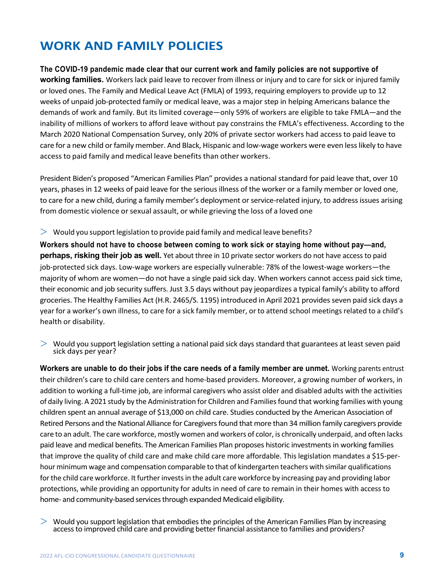## **WORK AND FAMILY POLICIES**

**The COVID-19 pandemic made clear that our current work and family policies are not supportive of working families.** Workers lack paid leave to recover from illness or injury and to care for sick or injured family or loved ones. The Family and Medical Leave Act (FMLA) of 1993, requiring employers to provide up to 12 weeks of unpaid job-protected family or medical leave, was a major step in helping Americans balance the demands of work and family. But its limited coverage—only 59% of workers are eligible to take FMLA—and the inability of millions of workers to afford leave without pay constrains the FMLA's effectiveness. According to the March 2020 National Compensation Survey, only 20% of private sector workers had access to paid leave to care for a new child or family member. And Black, Hispanic and low-wage workers were even less likely to have access to paid family and medical leave benefits than other workers.

President Biden's proposed "American Families Plan" provides a national standard for paid leave that, over 10 years, phases in 12 weeks of paid leave for the serious illness of the worker or a family member or loved one, to care for a new child, during a family member's deployment or service-related injury, to address issues arising from domestic violence orsexual assault, or while grieving the loss of a loved one

 $>$  Would you support legislation to provide paid family and medical leave benefits?

**Workers should not have to choose between coming to work sick or staying home without pay—and, perhaps, risking their job as well.** Yet about three in 10 private sector workers do not have access to paid job-protected sick days. Low-wage workers are especially vulnerable: 78% of the lowest-wage workers—the majority of whom are women—do not have a single paid sick day. When workers cannot access paid sick time, their economic and job security suffers. Just 3.5 days without pay jeopardizes a typical family's ability to afford groceries. The Healthy Families Act (H.R. 2465/S. 1195) introduced in April 2021 provides seven paid sick days a year for a worker's own illness, to care for a sick family member, or to attend school meetings related to a child's health or disability.

> Would you support legislation setting a national paid sick days standard that guarantees at least seven paid sick days per year?

**Workers are unable to do their jobs if the care needs of a family member are unmet.** Working parents entrust their children's care to child care centers and home-based providers. Moreover, a growing number of workers, in addition to working a full-time job, are informal caregivers who assist older and disabled adults with the activities of daily living. A 2021 study by the Administration for Children and Familiesfound that working families with young children spent an annual average of \$13,000 on child care. Studies conducted by the American Association of Retired Persons and the National Alliance for Caregiversfound that more than 34 million family caregivers provide care to an adult. The care workforce, mostly women and workers of color, is chronically underpaid, and often lacks paid leave and medical benefits. The American Families Plan proposes historic investments in working families that improve the quality of child care and make child care more affordable. This legislation mandates a \$15-perhour minimum wage and compensation comparable to that of kindergarten teachers with similar qualifications for the child care workforce. It further invests in the adult care workforce by increasing pay and providing labor protections, while providing an opportunity for adults in need of care to remain in their homes with access to home- and community-based services through expanded Medicaid eligibility.

> Would you support legislation that embodies the principles of the American Families Plan by increasing accessto improved child care and providing betterfinancial assistance to families and providers?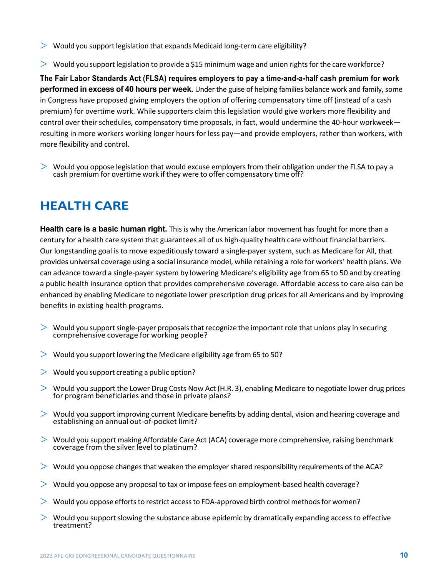- $>$  Would you support legislation that expands Medicaid long-term care eligibility?
- $>$  Would you support legislation to provide a \$15 minimum wage and union rights for the care workforce?

**The Fair Labor Standards Act (FLSA) requires employers to pay a time-and-a-half cash premium for work performed in excess of 40 hours per week.** Under the guise of helping families balance work and family, some in Congress have proposed giving employers the option of offering compensatory time off (instead of a cash premium) for overtime work. While supporters claim this legislation would give workers more flexibility and control over their schedules, compensatory time proposals, in fact, would undermine the 40-hour workweek resulting in more workers working longer hours for less pay—and provide employers, rather than workers, with more flexibility and control.

 $>$  Would you oppose legislation that would excuse employers from their obligation under the FLSA to pay a cash premium for overtime work if they were to offer compensatory time off?

#### **HEALTH CARE**

**Health care is a basic human right.** This is why the American labor movement has fought for more than a century for a health care system that guarantees all of us high-quality health care without financial barriers. Our longstanding goal is to move expeditiously toward a single-payer system, such as Medicare for All, that provides universal coverage using a social insurance model, while retaining a role for workers' health plans. We can advance toward a single-payer system by lowering Medicare's eligibility age from 65 to 50 and by creating a public health insurance option that provides comprehensive coverage. Affordable access to care also can be enhanced by enabling Medicare to negotiate lower prescription drug prices for all Americans and by improving benefits in existing health programs.

- $>$  Would you support single-payer proposals that recognize the important role that unions play in securing comprehensive coverage for working people?
- $>$  Would you support lowering the Medicare eligibility age from 65 to 50?
- $>$  Would you support creating a public option?
- $>$  Would you support the Lower Drug Costs Now Act (H.R. 3), enabling Medicare to negotiate lower drug prices for program beneficiaries and those in private plans?
- $>$  Would you support improving current Medicare benefits by adding dental, vision and hearing coverage and establishing an annual out-of-pocket limit?
- $>$  Would you support making Affordable Care Act (ACA) coverage more comprehensive, raising benchmark coverage from the silver level to platinum?
- $>$  Would you oppose changes that weaken the employer shared responsibility requirements of the ACA?
- $>$  Would vou oppose any proposal to tax or impose fees on employment-based health coverage?
- $>$  Would you oppose efforts to restrict access to FDA-approved birth control methods for women?
- $>$  Would you support slowing the substance abuse epidemic by dramatically expanding access to effective treatment?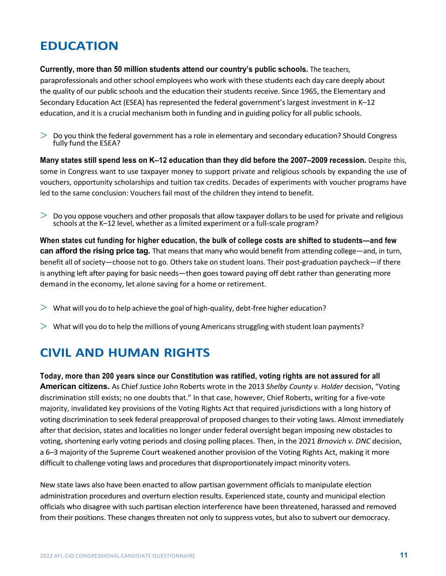### **EDUCATION**

**Currently, more than 50 million students attend our country's public schools.** The teachers, paraprofessionals and other school employees who work with these students each day care deeply about the quality of our public schools and the education their students receive. Since 1965, the Elementary and Secondary Education Act (ESEA) has represented the federal government's largest investment in K–12 education, and it is a crucial mechanism both in funding and in guiding policy for all public schools.

 $>$  Do you think the federal government has a role in elementary and secondary education? Should Congress fully fund the ESEA?

**Many states still spend less on K–12 education than they did before the 2007–2009 recession.** Despite this, some in Congress want to use taxpayer money to support private and religious schools by expanding the use of vouchers, opportunity scholarships and tuition tax credits. Decades of experiments with voucher programs have led to the same conclusion: Vouchers fail most of the children they intend to benefit.

 $>$  Do you oppose vouchers and other proposals that allow taxpayer dollars to be used for private and religious schools at the K–12 level, whether as a limited experiment or a full-scale program?

**When states cut funding for higher education, the bulk of college costs are shifted to students—and few can afford the rising price tag.** That means that many who would benefit from attending college—and, in turn, benefit all of society—choose not to go. Others take on student loans. Their post-graduation paycheck—if there is anything left after paying for basic needs—then goes toward paying off debt rather than generating more demand in the economy, let alone saving for a home or retirement.

- $>$  What will you do to help achieve the goal of high-quality, debt-free higher education?
- $>$  What will you do to help the millions of young Americans struggling with student loan payments?

#### **CIVIL AND HUMAN RIGHTS**

**Today, more than 200 years since our Constitution was ratified, voting rights are not assured for all American citizens.** As Chief Justice John Roberts wrote in the 2013 *Shelby County v. Holder* decision, "Voting discrimination still exists; no one doubts that." In that case, however, Chief Roberts, writing for a five-vote majority, invalidated key provisions of the Voting Rights Act that required jurisdictions with a long history of voting discrimination to seek federal preapproval of proposed changes to their voting laws. Almost immediately after that decision, states and localities no longer under federal oversight began imposing new obstacles to voting, shortening early voting periods and closing polling places. Then, in the 2021 *Brnovich v. DNC* decision, a 6–3 majority of the Supreme Court weakened another provision of the Voting Rights Act, making it more difficult to challenge voting laws and procedures that disproportionately impact minority voters.

New state laws also have been enacted to allow partisan government officials to manipulate election administration procedures and overturn election results. Experienced state, county and municipal election officials who disagree with such partisan election interference have been threatened, harassed and removed from their positions. These changes threaten not only to suppress votes, but also to subvert our democracy.